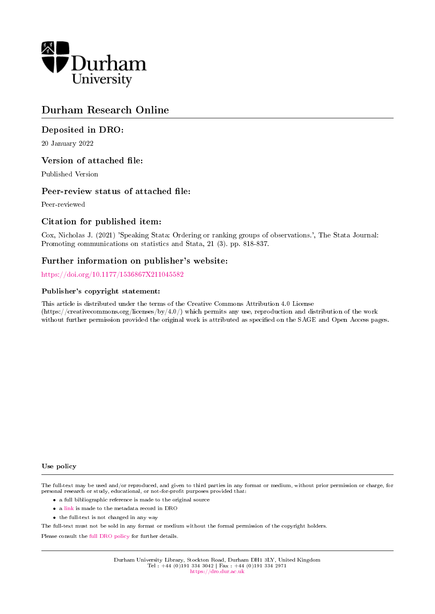

# Durham Research Online

### Deposited in DRO:

20 January 2022

#### Version of attached file:

Published Version

#### Peer-review status of attached file:

Peer-reviewed

#### Citation for published item:

Cox, Nicholas J. (2021) 'Speaking Stata: Ordering or ranking groups of observations.', The Stata Journal: Promoting communications on statistics and Stata, 21 (3). pp. 818-837.

#### Further information on publisher's website:

<https://doi.org/10.1177/1536867X211045582>

#### Publisher's copyright statement:

This article is distributed under the terms of the Creative Commons Attribution 4.0 License (https://creativecommons.org/licenses/by/4.0/) which permits any use, reproduction and distribution of the work without further permission provided the original work is attributed as specified on the SAGE and Open Access pages.

#### Use policy

The full-text may be used and/or reproduced, and given to third parties in any format or medium, without prior permission or charge, for personal research or study, educational, or not-for-profit purposes provided that:

- a full bibliographic reference is made to the original source
- a [link](http://dro.dur.ac.uk/35145/) is made to the metadata record in DRO
- the full-text is not changed in any way

The full-text must not be sold in any format or medium without the formal permission of the copyright holders.

Please consult the [full DRO policy](https://dro.dur.ac.uk/policies/usepolicy.pdf) for further details.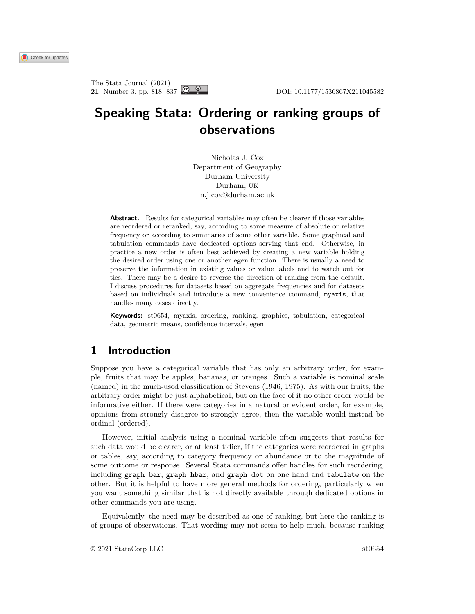# **Speaking Stata: Ordering or ranking groups of observations**

Nicholas J. Cox Department of Geography Durham University Durham, UK n.j.cox@durham.ac.uk

**Abstract.** Results for categorical variables may often be clearer if those variables are reordered or reranked, say, according to some measure of absolute or relative frequency or according to summaries of some other variable. Some graphical and tabulation commands have dedicated options serving that end. Otherwise, in practice a new order is often best achieved by creating a new variable holding the desired order using one or another egen function. There is usually a need to preserve the information in existing values or value labels and to watch out for ties. There may be a desire to reverse the direction of ranking from the default. I discuss procedures for datasets based on aggregate frequencies and for datasets based on individuals and introduce a new convenience command, myaxis, that handles many cases directly.

**Keywords:** st0654, myaxis, ordering, ranking, graphics, tabulation, categorical data, geometric means, confidence intervals, egen

# **1 Introduction**

Suppose you have a categorical variable that has only an arbitrary order, for example, fruits that may be apples, bananas, or oranges. Such a variable is nominal scale (named) in the much-used classification of Stevens [\(1946,](#page-20-0) [1975\)](#page-20-1). As with our fruits, the arbitrary order might be just alphabetical, but on the face of it no other order would be informative either. If there were categories in a natural or evident order, for example, opinions from strongly disagree to strongly agree, then the variable would instead be ordinal (ordered).

However, initial analysis using a nominal variable often suggests that results for such data would be clearer, or at least tidier, if the categories were reordered in graphs or tables, say, according to category frequency or abundance or to the magnitude of some outcome or response. Several Stata commands offer handles for such reordering, including graph bar, graph hbar, and graph dot on one hand and tabulate on the other. But it is helpful to have more general methods for ordering, particularly when you want something similar that is not directly available through dedicated options in other commands you are using.

Equivalently, the need may be described as one of ranking, but here the ranking is of groups of observations. That wording may not seem to help much, because ranking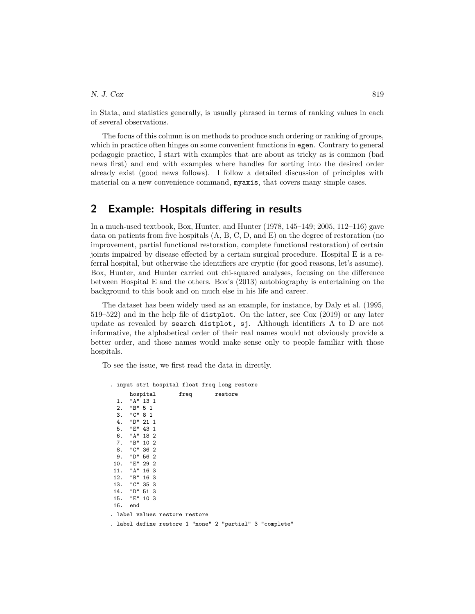in Stata, and statistics generally, is usually phrased in terms of ranking values in each of several observations.

The focus of this column is on methods to produce such ordering or ranking of groups, which in practice often hinges on some convenient functions in egen. Contrary to general pedagogic practice, I start with examples that are about as tricky as is common (bad news first) and end with examples where handles for sorting into the desired order already exist (good news follows). I follow a detailed discussion of principles with material on a new convenience command, myaxis, that covers many simple cases.

### **2 Example: Hospitals differing in results**

In a much-used textbook, Box, Hunter, and Hunter [\(1978,](#page-19-0) 145–149; [2005,](#page-19-1) 112–116) gave data on patients from five hospitals  $(A, B, C, D, and E)$  on the degree of restoration (no improvement, partial functional restoration, complete functional restoration) of certain joints impaired by disease effected by a certain surgical procedure. Hospital E is a referral hospital, but otherwise the identifiers are cryptic (for good reasons, let's assume). Box, Hunter, and Hunter carried out chi-squared analyses, focusing on the difference between Hospital E and the others. Box's [\(2013\)](#page-19-2) autobiography is entertaining on the background to this book and on much else in his life and career.

The dataset has been widely used as an example, for instance, by [Daly et al. \(1995,](#page-20-2) 519–522) and in the help file of distplot. On the latter, see [Cox \(2019\)](#page-19-3) or any later update as revealed by search distplot, sj. Although identifiers A to D are not informative, the alphabetical order of their real names would not obviously provide a better order, and those names would make sense only to people familiar with those hospitals.

To see the issue, we first read the data in directly.

```
. input str1 hospital float freq long restore
     hospital freq restore
 1. "A" 13 1
 2. "B" 5 1
 3. "C" 8 1
 4. "D" 21 1
 5. "E" 43 1
 6. "A" 18 2
 7. "B" 10 2
 8. "C" 36 2
 9. "D" 56 2
10. "E" 29 2
11. "A" 16 3
12. "B" 16 3
13. "C" 35 3
14. "D" 51 3
15. "E" 10 3
16. end
. label values restore restore
. label define restore 1 "none" 2 "partial" 3 "complete"
```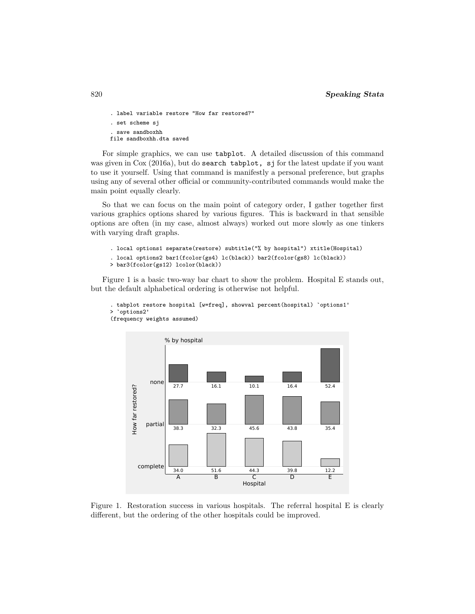```
. label variable restore "How far restored?"
. set scheme sj
. save sandboxhh
file sandboxhh.dta saved
```
For simple graphics, we can use tabplot. A detailed discussion of this command was given in [Cox \(2016a\)](#page-19-4), but do search tabplot, sj for the latest update if you want to use it yourself. Using that command is manifestly a personal preference, but graphs using any of several other official or community-contributed commands would make the main point equally clearly.

So that we can focus on the main point of category order, I gather together first various graphics options shared by various figures. This is backward in that sensible options are often (in my case, almost always) worked out more slowly as one tinkers with varying draft graphs.

```
. local options1 separate(restore) subtitle("% by hospital") xtitle(Hospital)
. local options2 bar1(fcolor(gs4) lc(black)) bar2(fcolor(gs8) lc(black))
> bar3(fcolor(gs12) lcolor(black))
```
Figure 1 is a basic two-way bar chart to show the problem. Hospital E stands out, but the default alphabetical ordering is otherwise not helpful.



```
. tabplot restore hospital [w=freq], showval percent(hospital) `options1'
> `options2'
(frequency weights assumed)
```
Figure 1. Restoration success in various hospitals. The referral hospital E is clearly different, but the ordering of the other hospitals could be improved.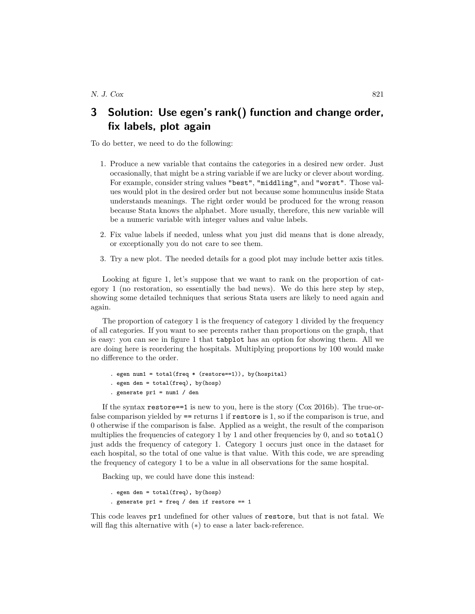# **3 Solution: Use egen's rank() function and change order, fix labels, plot again**

To do better, we need to do the following:

- 1. Produce a new variable that contains the categories in a desired new order. Just occasionally, that might be a string variable if we are lucky or clever about wording. For example, consider string values "best", "middling", and "worst". Those values would plot in the desired order but not because some homunculus inside Stata understands meanings. The right order would be produced for the wrong reason because Stata knows the alphabet. More usually, therefore, this new variable will be a numeric variable with integer values and value labels.
- 2. Fix value labels if needed, unless what you just did means that is done already, or exceptionally you do not care to see them.
- 3. Try a new plot. The needed details for a good plot may include better axis titles.

Looking at figure 1, let's suppose that we want to rank on the proportion of category 1 (no restoration, so essentially the bad news). We do this here step by step, showing some detailed techniques that serious Stata users are likely to need again and again.

The proportion of category 1 is the frequency of category 1 divided by the frequency of all categories. If you want to see percents rather than proportions on the graph, that is easy: you can see in figure 1 that tabplot has an option for showing them. All we are doing here is reordering the hospitals. Multiplying proportions by 100 would make no difference to the order.

```
. egen num1 = total(freq * (restore==1)), by(hospital)
. egen den = total(freq), by(hosp). generate pr1 = num1 / den
```
If the syntax restore==1 is new to you, here is the story [\(Cox 2016b\)](#page-19-5). The true-orfalse comparison yielded by == returns 1 if restore is 1, so if the comparison is true, and 0 otherwise if the comparison is false. Applied as a weight, the result of the comparison multiplies the frequencies of category 1 by 1 and other frequencies by 0, and so  $total()$ just adds the frequency of category 1. Category 1 occurs just once in the dataset for each hospital, so the total of one value is that value. With this code, we are spreading the frequency of category 1 to be a value in all observations for the same hospital.

Backing up, we could have done this instead:

```
. egen den = total(freq), by(hosp)
. generate pr1 = freq / den if restore == 1
```
This code leaves pr1 undefined for other values of restore, but that is not fatal. We will flag this alternative with (∗) to ease a later back-reference.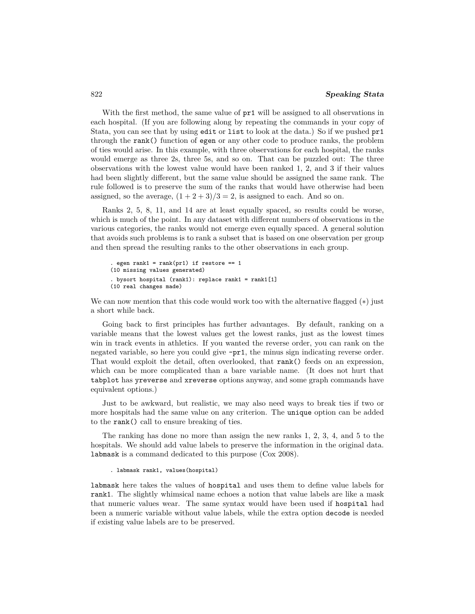With the first method, the same value of  $pr1$  will be assigned to all observations in each hospital. (If you are following along by repeating the commands in your copy of Stata, you can see that by using edit or list to look at the data.) So if we pushed pr1 through the rank() function of egen or any other code to produce ranks, the problem of ties would arise. In this example, with three observations for each hospital, the ranks would emerge as three 2s, three 5s, and so on. That can be puzzled out: The three observations with the lowest value would have been ranked 1, 2, and 3 if their values had been slightly different, but the same value should be assigned the same rank. The rule followed is to preserve the sum of the ranks that would have otherwise had been assigned, so the average,  $(1+2+3)/3=2$ , is assigned to each. And so on.

Ranks 2, 5, 8, 11, and 14 are at least equally spaced, so results could be worse, which is much of the point. In any dataset with different numbers of observations in the various categories, the ranks would not emerge even equally spaced. A general solution that avoids such problems is to rank a subset that is based on one observation per group and then spread the resulting ranks to the other observations in each group.

```
. egen rank1 = \text{rank}(\text{pr1}) if restore == 1
(10 missing values generated)
. bysort hospital (rank1): replace rank1 = rank1[1]
(10 real changes made)
```
We can now mention that this code would work too with the alternative flagged  $(*)$  just a short while back.

Going back to first principles has further advantages. By default, ranking on a variable means that the lowest values get the lowest ranks, just as the lowest times win in track events in athletics. If you wanted the reverse order, you can rank on the negated variable, so here you could give -pr1, the minus sign indicating reverse order. That would exploit the detail, often overlooked, that rank() feeds on an expression, which can be more complicated than a bare variable name. (It does not hurt that tabplot has yreverse and xreverse options anyway, and some graph commands have equivalent options.)

Just to be awkward, but realistic, we may also need ways to break ties if two or more hospitals had the same value on any criterion. The unique option can be added to the rank() call to ensure breaking of ties.

The ranking has done no more than assign the new ranks 1, 2, 3, 4, and 5 to the hospitals. We should add value labels to preserve the information in the original data. labmask is a command dedicated to this purpose [\(Cox 2008\)](#page-19-6).

```
. labmask rank1, values(hospital)
```
labmask here takes the values of hospital and uses them to define value labels for rank1. The slightly whimsical name echoes a notion that value labels are like a mask that numeric values wear. The same syntax would have been used if hospital had been a numeric variable without value labels, while the extra option decode is needed if existing value labels are to be preserved.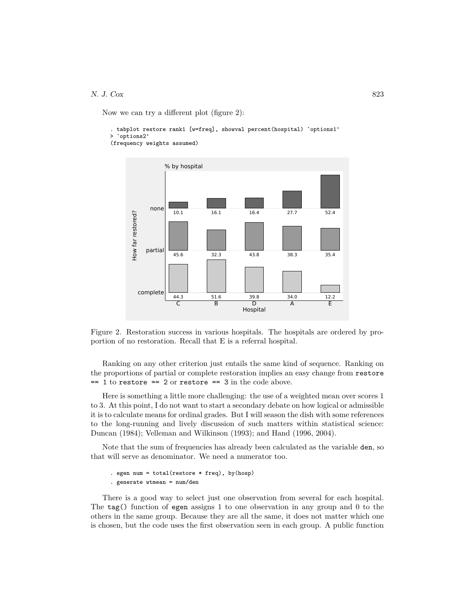#### N. J. Cox 823

Now we can try a different plot (figure 2):

```
. tabplot restore rank1 [w=freq], showval percent(hospital) `options1'
> `options2'
(frequency weights assumed)
```


Figure 2. Restoration success in various hospitals. The hospitals are ordered by proportion of no restoration. Recall that E is a referral hospital.

Ranking on any other criterion just entails the same kind of sequence. Ranking on the proportions of partial or complete restoration implies an easy change from restore  $== 1$  to restore  $== 2$  or restore  $== 3$  in the code above.

Here is something a little more challenging: the use of a weighted mean over scores 1 to 3. At this point, I do not want to start a secondary debate on how logical or admissible it is to calculate means for ordinal grades. But I will season the dish with some references to the long-running and lively discussion of such matters within statistical science: [Duncan \(1984\)](#page-20-3); [Velleman and Wilkinson \(1993\)](#page-20-4); and Hand [\(1996,](#page-20-5) [2004\)](#page-20-6).

Note that the sum of frequencies has already been calculated as the variable den, so that will serve as denominator. We need a numerator too.

```
. egen num = total(restore * freq), by(hosp)
. generate wtmean = num/den
```
There is a good way to select just one observation from several for each hospital. The tag() function of egen assigns 1 to one observation in any group and 0 to the others in the same group. Because they are all the same, it does not matter which one is chosen, but the code uses the first observation seen in each group. A public function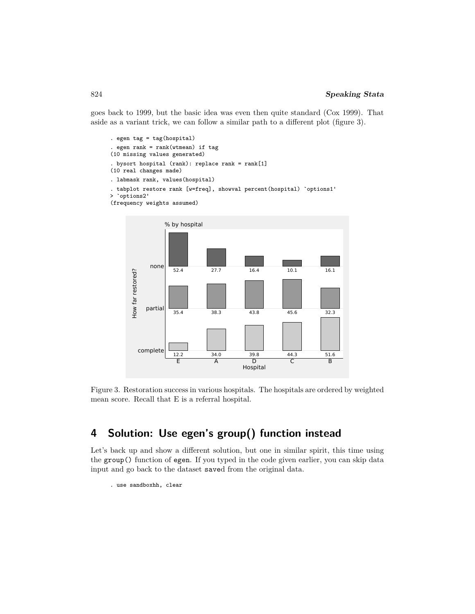goes back to 1999, but the basic idea was even then quite standard [\(Cox 1999\)](#page-19-7). That aside as a variant trick, we can follow a similar path to a different plot (figure 3).

```
. egen tag = tag(hospital). egen rank = rank(wtmean) if tag
(10 missing values generated)
. bysort hospital (rank): replace rank = rank[1]
(10 real changes made)
. labmask rank, values(hospital)
. tabplot restore rank [w=freq], showval percent(hospital) `options1'
> `options2'
(frequency weights assumed)
```


Figure 3. Restoration success in various hospitals. The hospitals are ordered by weighted mean score. Recall that E is a referral hospital.

# **4 Solution: Use egen's group() function instead**

Let's back up and show a different solution, but one in similar spirit, this time using the group() function of egen. If you typed in the code given earlier, you can skip data input and go back to the dataset saved from the original data.

```
. use sandboxhh, clear
```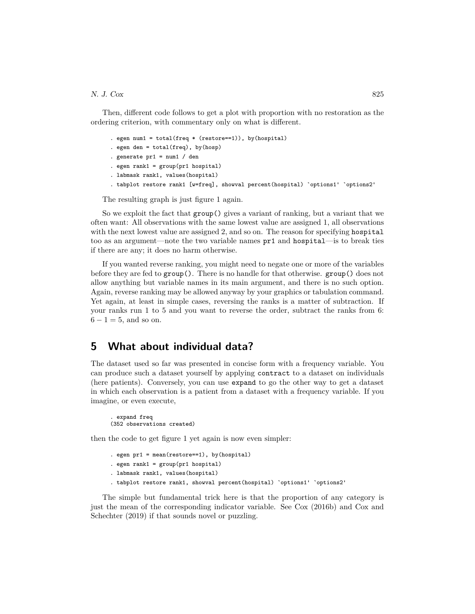#### N. J.  $Cox$  825

Then, different code follows to get a plot with proportion with no restoration as the ordering criterion, with commentary only on what is different.

```
. egen num1 = total(freq * (restore==1)), by(hospital)
```

```
. egen den = total(freq), by(hosp)
```

```
. generate pr1 = num1 / den
```

```
. egen rank1 = group(pr1 hospital)
```

```
. labmask rank1, values(hospital)
```

```
. tabplot restore rank1 [w=freq], showval percent(hospital) `options1' `options2'
```
The resulting graph is just figure 1 again.

So we exploit the fact that group() gives a variant of ranking, but a variant that we often want: All observations with the same lowest value are assigned 1, all observations with the next lowest value are assigned 2, and so on. The reason for specifying hospital too as an argument—note the two variable names pr1 and hospital—is to break ties if there are any; it does no harm otherwise.

If you wanted reverse ranking, you might need to negate one or more of the variables before they are fed to group(). There is no handle for that otherwise. group() does not allow anything but variable names in its main argument, and there is no such option. Again, reverse ranking may be allowed anyway by your graphics or tabulation command. Yet again, at least in simple cases, reversing the ranks is a matter of subtraction. If your ranks run 1 to 5 and you want to reverse the order, subtract the ranks from 6:  $6 - 1 = 5$ , and so on.

# **5 What about individual data?**

The dataset used so far was presented in concise form with a frequency variable. You can produce such a dataset yourself by applying contract to a dataset on individuals (here patients). Conversely, you can use expand to go the other way to get a dataset in which each observation is a patient from a dataset with a frequency variable. If you imagine, or even execute,

```
. expand freq
(352 observations created)
```
then the code to get figure 1 yet again is now even simpler:

```
. egen pr1 = mean(restore==1), by(hospital)
. egen rank1 = group(pr1 hospital). labmask rank1, values(hospital)
. tabplot restore rank1, showval percent(hospital) `options1' `options2'
```
The simple but fundamental trick here is that the proportion of any category is just the mean of the corresponding indicator variable. See [Cox \(2016b\)](#page-19-5) and [Cox and](#page-19-8) [Schechter \(2019\)](#page-19-8) if that sounds novel or puzzling.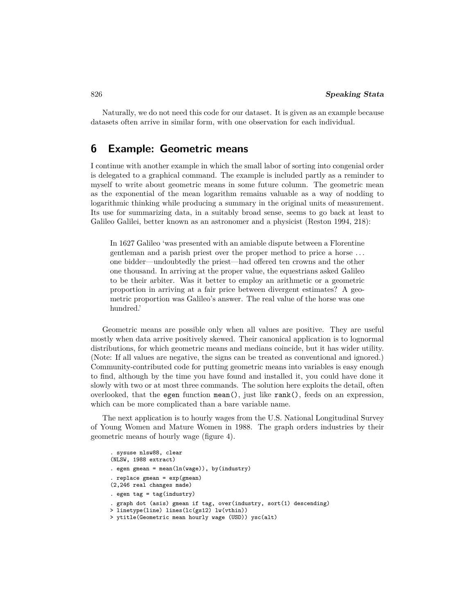Naturally, we do not need this code for our dataset. It is given as an example because datasets often arrive in similar form, with one observation for each individual.

### **6 Example: Geometric means**

I continue with another example in which the small labor of sorting into congenial order is delegated to a graphical command. The example is included partly as a reminder to myself to write about geometric means in some future column. The geometric mean as the exponential of the mean logarithm remains valuable as a way of nodding to logarithmic thinking while producing a summary in the original units of measurement. Its use for summarizing data, in a suitably broad sense, seems to go back at least to Galileo Galilei, better known as an astronomer and a physicist [\(Reston 1994,](#page-20-7) 218):

In 1627 Galileo 'was presented with an amiable dispute between a Florentine gentleman and a parish priest over the proper method to price a horse . . . one bidder—undoubtedly the priest—had offered ten crowns and the other one thousand. In arriving at the proper value, the equestrians asked Galileo to be their arbiter. Was it better to employ an arithmetic or a geometric proportion in arriving at a fair price between divergent estimates? A geometric proportion was Galileo's answer. The real value of the horse was one hundred.'

Geometric means are possible only when all values are positive. They are useful mostly when data arrive positively skewed. Their canonical application is to lognormal distributions, for which geometric means and medians coincide, but it has wider utility. (Note: If all values are negative, the signs can be treated as conventional and ignored.) Community-contributed code for putting geometric means into variables is easy enough to find, although by the time you have found and installed it, you could have done it slowly with two or at most three commands. The solution here exploits the detail, often overlooked, that the egen function mean(), just like rank(), feeds on an expression, which can be more complicated than a bare variable name.

The next application is to hourly wages from the U.S. National Longitudinal Survey of Young Women and Mature Women in 1988. The graph orders industries by their geometric means of hourly wage (figure 4).

```
. sysuse nlsw88, clear
(NLSW, 1988 extract)
. egen gmean = mean(\ln(wage)), by(\text{industry}). replace gmean = exp(gmean)(2,246 real changes made)
. egen tag = tag(industry). graph dot (asis) gmean if tag, over(industry, sort(1) descending)
> linetype(line) lines(lc(gs12) lw(vthin))
> ytitle(Geometric mean hourly wage (USD)) ysc(alt)
```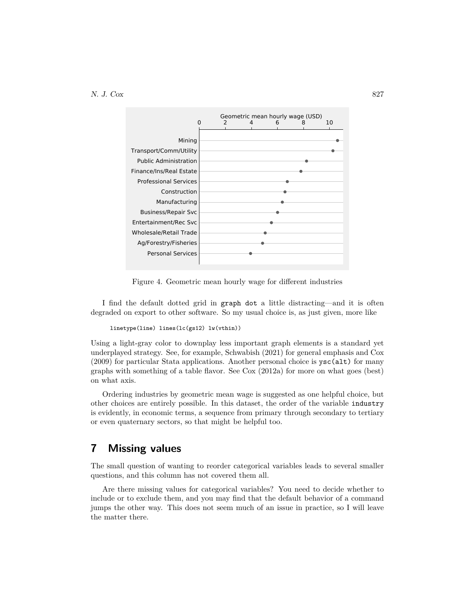

Figure 4. Geometric mean hourly wage for different industries

I find the default dotted grid in graph dot a little distracting—and it is often degraded on export to other software. So my usual choice is, as just given, more like

```
linetype(line) lines(lc(gs12) lw(vthin))
```
Using a light-gray color to downplay less important graph elements is a standard yet underplayed strategy. See, for example, [Schwabish \(2021\)](#page-20-8) for general emphasis and [Cox](#page-19-9) [\(2009\)](#page-19-9) for particular Stata applications. Another personal choice is ysc(alt) for many graphs with something of a table flavor. See [Cox \(2012a\)](#page-19-10) for more on what goes (best) on what axis.

Ordering industries by geometric mean wage is suggested as one helpful choice, but other choices are entirely possible. In this dataset, the order of the variable industry is evidently, in economic terms, a sequence from primary through secondary to tertiary or even quaternary sectors, so that might be helpful too.

# **7 Missing values**

The small question of wanting to reorder categorical variables leads to several smaller questions, and this column has not covered them all.

Are there missing values for categorical variables? You need to decide whether to include or to exclude them, and you may find that the default behavior of a command jumps the other way. This does not seem much of an issue in practice, so I will leave the matter there.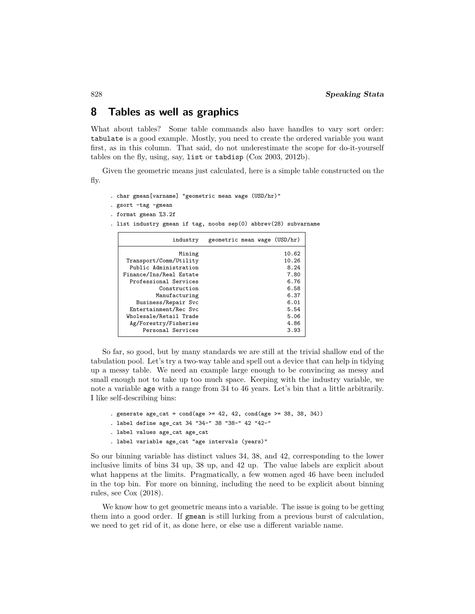# **8 Tables as well as graphics**

What about tables? Some table commands also have handles to vary sort order: tabulate is a good example. Mostly, you need to create the ordered variable you want first, as in this column. That said, do not underestimate the scope for do-it-yourself tables on the fly, using, say, list or tabdisp (Cox [2003,](#page-19-11) [2012b\)](#page-19-12).

Given the geometric means just calculated, here is a simple table constructed on the fly.

. char gmean[varname] "geometric mean wage (USD/hr)"

```
. gsort -tag -gmean
```
- . format gmean %3.2f
- . list industry gmean if tag, noobs sep(0) abbrev(28) subvarname

| industry                | geometric mean wage (USD/hr) |
|-------------------------|------------------------------|
| Mining                  | 10.62                        |
| Transport/Comm/Utility  | 10.26                        |
| Public Administration   | 8.24                         |
| Finance/Ins/Real Estate | 7.80                         |
| Professional Services   | 6.76                         |
| Construction            | 6.58                         |
| Manufacturing           | 6.37                         |
| Business/Repair Svc     | 6.01                         |
| Entertainment/Rec Svc   | 5.54                         |
| Wholesale/Retail Trade  | 5.06                         |
| Ag/Forestry/Fisheries   | 4.86                         |
| Personal Services       | 3.93                         |

So far, so good, but by many standards we are still at the trivial shallow end of the tabulation pool. Let's try a two-way table and spell out a device that can help in tidying up a messy table. We need an example large enough to be convincing as messy and small enough not to take up too much space. Keeping with the industry variable, we note a variable age with a range from 34 to 46 years. Let's bin that a little arbitrarily. I like self-describing bins:

```
. generate age_cat = cond(age \ge 42, 42, cond(age \ge 38, 38, 34)). label define age_cat 34 "34-" 38 "38-" 42 "42-"
. label values age_cat age_cat
. label variable age_cat "age intervals (years)"
```
So our binning variable has distinct values 34, 38, and 42, corresponding to the lower inclusive limits of bins 34 up, 38 up, and 42 up. The value labels are explicit about what happens at the limits. Pragmatically, a few women aged 46 have been included in the top bin. For more on binning, including the need to be explicit about binning rules, see [Cox \(2018\)](#page-19-13).

We know how to get geometric means into a variable. The issue is going to be getting them into a good order. If gmean is still lurking from a previous burst of calculation, we need to get rid of it, as done here, or else use a different variable name.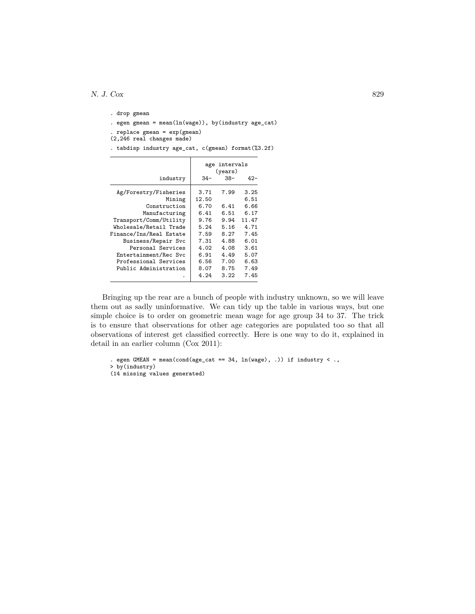```
. drop gmean
. egen gmean = mean(ln(wage)), by(industry age_cat)
. replace gmean = exp(gmean)
(2,246 real changes made)
. tabdisp industry age_cat, c(gmean) format(%3.2f)
```

| $34-$<br>38-                                                                                                  | $42 -$                                                                                        |
|---------------------------------------------------------------------------------------------------------------|-----------------------------------------------------------------------------------------------|
| 3.71<br>7.99<br>12.50<br>6.70<br>6.41<br>6.51<br>9.76<br>5.24<br>7.59<br>7.31<br>4.02<br>6.91<br>6.56<br>8.07 | 3.25<br>6.51<br>6.66<br>6.17<br>11.47<br>4.71<br>7.45<br>6.01<br>3.61<br>5.07<br>6.63<br>7.49 |
|                                                                                                               | 6.41<br>9.94<br>5.16<br>8.27<br>4.88<br>4.08<br>4.49<br>7.00<br>8.75<br>4.24<br>3.22          |

Bringing up the rear are a bunch of people with industry unknown, so we will leave them out as sadly uninformative. We can tidy up the table in various ways, but one simple choice is to order on geometric mean wage for age group 34 to 37. The trick is to ensure that observations for other age categories are populated too so that all observations of interest get classified correctly. Here is one way to do it, explained in detail in an earlier column [\(Cox 2011\)](#page-19-14):

```
. egen GMEAN = mean(cond(age_cat == 34, ln(wage), .)) if industry < .,
> by(industry)
(14 missing values generated)
```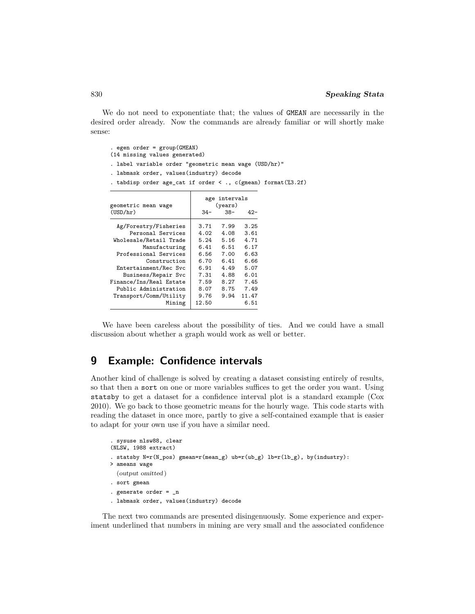We do not need to exponentiate that; the values of GMEAN are necessarily in the desired order already. Now the commands are already familiar or will shortly make sense:

. egen order = group(GMEAN) (14 missing values generated) . label variable order "geometric mean wage (USD/hr)" . labmask order, values(industry) decode . tabdisp order age\_cat if order < ., c(gmean) format(%3.2f) age intervals geometric mean wage (years)

| geometric mean wage     | (years) |       |       |
|-------------------------|---------|-------|-------|
| (USD/hr)                | $34-$   | $38-$ | 42-   |
| Ag/Forestry/Fisheries   | 3.71    | 7.99  | 3.25  |
| Personal Services       | 4.02    | 4.08  | 3.61  |
| Wholesale/Retail Trade  | 5.24    | 5.16  | 4.71  |
| Manufacturing           | 6.41    | 6.51  | 6.17  |
| Professional Services   | 6.56    | 7.00  | 6.63  |
| Construction            | 6.70    | 6.41  | 6.66  |
| Entertainment/Rec Svc   | 6.91    | 4.49  | 5.07  |
| Business/Repair Svc     | 7.31    | 4.88  | 6.01  |
| Finance/Ins/Real Estate | 7.59    | 8.27  | 7.45  |
| Public Administration   | 8.07    | 8.75  | 7.49  |
| Transport/Comm/Utility  | 9.76    | 9.94  | 11.47 |
| Mining                  | 12.50   |       | 6.51  |
|                         |         |       |       |

We have been careless about the possibility of ties. And we could have a small discussion about whether a graph would work as well or better.

# **9 Example: Confidence intervals**

Another kind of challenge is solved by creating a dataset consisting entirely of results, so that then a sort on one or more variables suffices to get the order you want. Using statsby to get a dataset for a confidence interval plot is a standard example [\(Cox](#page-19-15) [2010\)](#page-19-15). We go back to those geometric means for the hourly wage. This code starts with reading the dataset in once more, partly to give a self-contained example that is easier to adapt for your own use if you have a similar need.

```
. sysuse nlsw88, clear
(NLSW, 1988 extract)
. statsby N=r(N_pos) gmean=r(mean_g) ub=r(ub_g) lb=r(lb_g), by(industry):
> ameans wage
  (output omitted )
. sort gmean
. generate order = _n
. labmask order, values(industry) decode
```
The next two commands are presented disingenuously. Some experience and experiment underlined that numbers in mining are very small and the associated confidence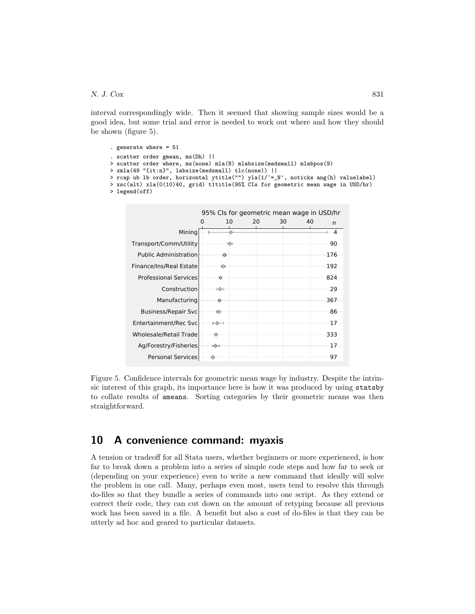#### N. J.  $Cox$  831

interval correspondingly wide. Then it seemed that showing sample sizes would be a good idea, but some trial and error is needed to work out where and how they should be shown (figure 5).

```
. generate where = 51
. scatter order gmean, ms(Dh) ||
> scatter order where, ms(none) mla(N) mlabsize(medsmall) mlabpos(9)
> xmla(49 "{it:n}", labsize(medsmall) tlc(none)) ||
> rcap ub lb order, horizontal ytitle("") yla(1/`=_N', noticks ang(h) valuelabel)
> xsc(alt) xla(0(10)40, grid) t1title(95% CIs for geometric mean wage in USD/hr)
> legend(off)
```


Figure 5. Confidence intervals for geometric mean wage by industry. Despite the intrinsic interest of this graph, its importance here is how it was produced by using statsby to collate results of ameans. Sorting categories by their geometric means was then straightforward.

# **10 A convenience command: myaxis**

A tension or tradeoff for all Stata users, whether beginners or more experienced, is how far to break down a problem into a series of simple code steps and how far to seek or (depending on your experience) even to write a new command that ideally will solve the problem in one call. Many, perhaps even most, users tend to resolve this through do-files so that they bundle a series of commands into one script. As they extend or correct their code, they can cut down on the amount of retyping because all previous work has been saved in a file. A benefit but also a cost of do-files is that they can be utterly ad hoc and geared to particular datasets.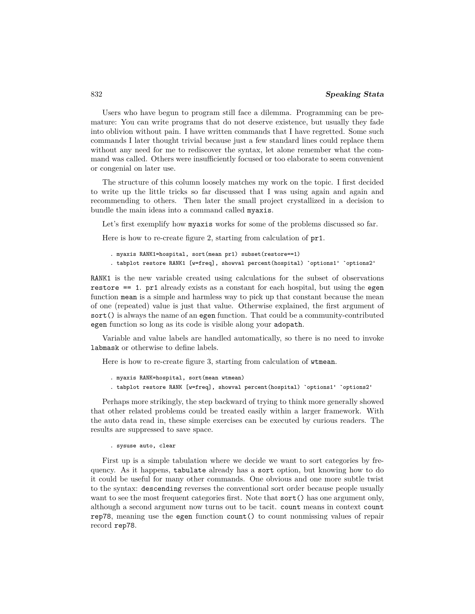Users who have begun to program still face a dilemma. Programming can be premature: You can write programs that do not deserve existence, but usually they fade into oblivion without pain. I have written commands that I have regretted. Some such commands I later thought trivial because just a few standard lines could replace them without any need for me to rediscover the syntax, let alone remember what the command was called. Others were insufficiently focused or too elaborate to seem convenient or congenial on later use.

The structure of this column loosely matches my work on the topic. I first decided to write up the little tricks so far discussed that I was using again and again and recommending to others. Then later the small project crystallized in a decision to bundle the main ideas into a command called myaxis.

Let's first exemplify how myaxis works for some of the problems discussed so far.

Here is how to re-create figure 2, starting from calculation of pr1.

```
. myaxis RANK1=hospital, sort(mean pr1) subset(restore==1)
. tabplot restore RANK1 [w=freq], showval percent(hospital) `options1' `options2'
```
RANK1 is the new variable created using calculations for the subset of observations restore == 1. pr1 already exists as a constant for each hospital, but using the egen function mean is a simple and harmless way to pick up that constant because the mean of one (repeated) value is just that value. Otherwise explained, the first argument of sort() is always the name of an egen function. That could be a community-contributed egen function so long as its code is visible along your adopath.

Variable and value labels are handled automatically, so there is no need to invoke labmask or otherwise to define labels.

Here is how to re-create figure 3, starting from calculation of wtmean.

```
. myaxis RANK=hospital, sort(mean wtmean)
. tabplot restore RANK [w=freq], showval percent(hospital) `options1' `options2'
```
Perhaps more strikingly, the step backward of trying to think more generally showed that other related problems could be treated easily within a larger framework. With the auto data read in, these simple exercises can be executed by curious readers. The results are suppressed to save space.

. sysuse auto, clear

First up is a simple tabulation where we decide we want to sort categories by frequency. As it happens, tabulate already has a sort option, but knowing how to do it could be useful for many other commands. One obvious and one more subtle twist to the syntax: descending reverses the conventional sort order because people usually want to see the most frequent categories first. Note that sort () has one argument only, although a second argument now turns out to be tacit. count means in context count rep78, meaning use the egen function count() to count nonmissing values of repair record rep78.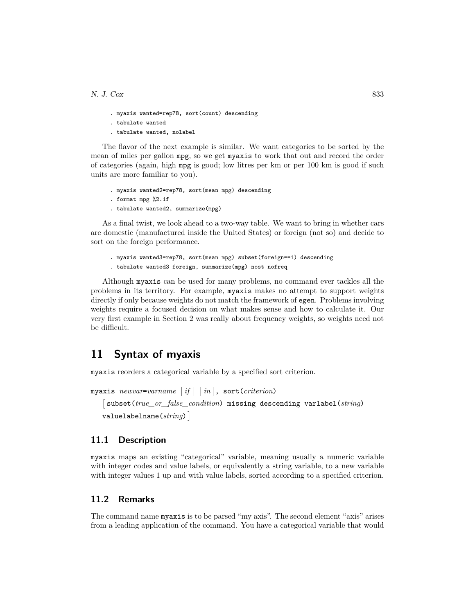- . myaxis wanted=rep78, sort(count) descending
- . tabulate wanted
- . tabulate wanted, nolabel

The flavor of the next example is similar. We want categories to be sorted by the mean of miles per gallon mpg, so we get myaxis to work that out and record the order of categories (again, high mpg is good; low litres per km or per 100 km is good if such units are more familiar to you).

- . myaxis wanted2=rep78, sort(mean mpg) descending
- . format mpg %2.1f
- . tabulate wanted2, summarize(mpg)

As a final twist, we look ahead to a two-way table. We want to bring in whether cars are domestic (manufactured inside the United States) or foreign (not so) and decide to sort on the foreign performance.

```
. myaxis wanted3=rep78, sort(mean mpg) subset(foreign==1) descending
```
. tabulate wanted3 foreign, summarize(mpg) nost nofreq

Although myaxis can be used for many problems, no command ever tackles all the problems in its territory. For example, myaxis makes no attempt to support weights directly if only because weights do not match the framework of egen. Problems involving weights require a focused decision on what makes sense and how to calculate it. Our very first example in Section 2 was really about frequency weights, so weights need not be difficult.

# **11 Syntax of myaxis**

myaxis reorders a categorical variable by a specified sort criterion.

```
myaxis \it{newvar=varname} \lceil if \rceil ~ \lceil in \rceil, sort(criterion)
   -

subset(true_or_false_condition) missing descending varlabel(string)
   valuelabelname(string)
```
#### **11.1 Description**

myaxis maps an existing "categorical" variable, meaning usually a numeric variable with integer codes and value labels, or equivalently a string variable, to a new variable with integer values 1 up and with value labels, sorted according to a specified criterion.

#### **11.2 Remarks**

The command name myaxis is to be parsed "my axis". The second element "axis" arises from a leading application of the command. You have a categorical variable that would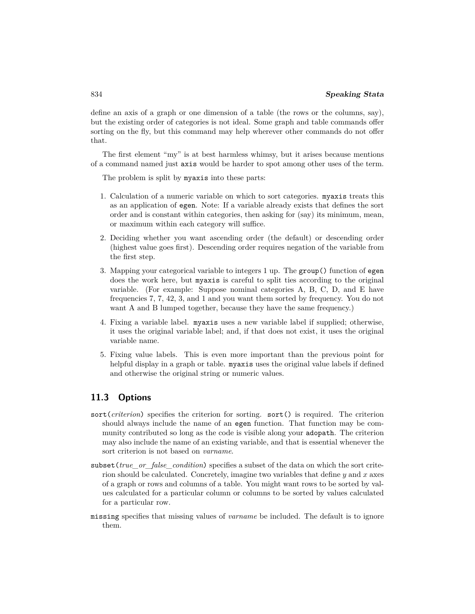define an axis of a graph or one dimension of a table (the rows or the columns, say), but the existing order of categories is not ideal. Some graph and table commands offer sorting on the fly, but this command may help wherever other commands do not offer that.

The first element "my" is at best harmless whimsy, but it arises because mentions of a command named just axis would be harder to spot among other uses of the term.

The problem is split by myaxis into these parts:

- 1. Calculation of a numeric variable on which to sort categories. myaxis treats this as an application of egen. Note: If a variable already exists that defines the sort order and is constant within categories, then asking for (say) its minimum, mean, or maximum within each category will suffice.
- 2. Deciding whether you want ascending order (the default) or descending order (highest value goes first). Descending order requires negation of the variable from the first step.
- 3. Mapping your categorical variable to integers 1 up. The group() function of egen does the work here, but myaxis is careful to split ties according to the original variable. (For example: Suppose nominal categories A, B, C, D, and E have frequencies 7, 7, 42, 3, and 1 and you want them sorted by frequency. You do not want A and B lumped together, because they have the same frequency.)
- 4. Fixing a variable label. myaxis uses a new variable label if supplied; otherwise, it uses the original variable label; and, if that does not exist, it uses the original variable name.
- 5. Fixing value labels. This is even more important than the previous point for helpful display in a graph or table. myaxis uses the original value labels if defined and otherwise the original string or numeric values.

# **11.3 Options**

- sort(*criterion*) specifies the criterion for sorting. sort() is required. The criterion should always include the name of an egen function. That function may be community contributed so long as the code is visible along your adopath. The criterion may also include the name of an existing variable, and that is essential whenever the sort criterion is not based on *varname*.
- subset(*true\_or\_false\_condition*) specifies a subset of the data on which the sort criterion should be calculated. Concretely, imagine two variables that define  $y$  and x axes of a graph or rows and columns of a table. You might want rows to be sorted by values calculated for a particular column or columns to be sorted by values calculated for a particular row.
- missing specifies that missing values of *varname* be included. The default is to ignore them.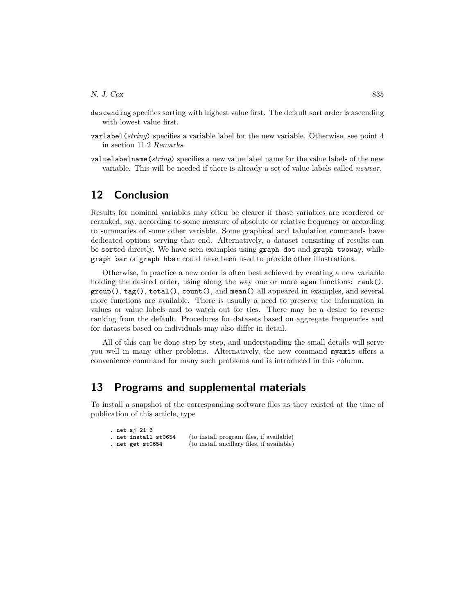- descending specifies sorting with highest value first. The default sort order is ascending with lowest value first.
- varlabel(*string*) specifies a variable label for the new variable. Otherwise, see point 4 in section 11.2 Remarks.
- valuelabelname(*string*) specifies a new value label name for the value labels of the new variable. This will be needed if there is already a set of value labels called *newvar*.

# **12 Conclusion**

Results for nominal variables may often be clearer if those variables are reordered or reranked, say, according to some measure of absolute or relative frequency or according to summaries of some other variable. Some graphical and tabulation commands have dedicated options serving that end. Alternatively, a dataset consisting of results can be sorted directly. We have seen examples using graph dot and graph twoway, while graph bar or graph hbar could have been used to provide other illustrations.

Otherwise, in practice a new order is often best achieved by creating a new variable holding the desired order, using along the way one or more egen functions:  $rank()$ ,  $group(), tag(), total(), count(), and mean() all appeared in examples, and several$ more functions are available. There is usually a need to preserve the information in values or value labels and to watch out for ties. There may be a desire to reverse ranking from the default. Procedures for datasets based on aggregate frequencies and for datasets based on individuals may also differ in detail.

All of this can be done step by step, and understanding the small details will serve you well in many other problems. Alternatively, the new command myaxis offers a convenience command for many such problems and is introduced in this column.

#### **13 Programs and supplemental materials**

To install a snapshot of the corresponding software files as they existed at the time of publication of this article, type

|  | . net sj 21-3        |                                            |
|--|----------------------|--------------------------------------------|
|  | . net install st0654 | (to install program files, if available)   |
|  | . net get st0654     | (to install ancillary files, if available) |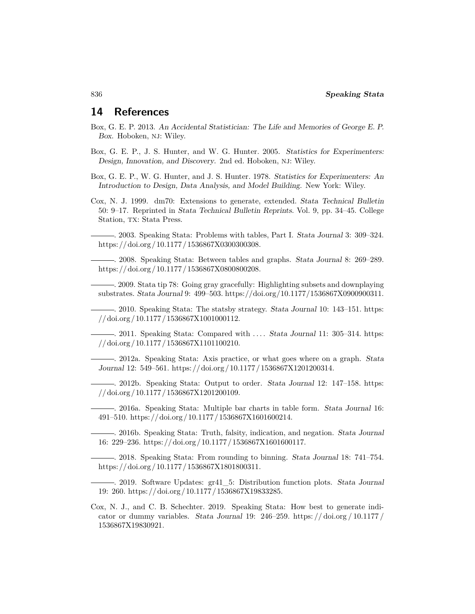# **14 References**

- <span id="page-19-2"></span>Box, G. E. P. 2013. An Accidental Statistician: The Life and Memories of George E. P. Box. Hoboken, NJ: Wiley.
- <span id="page-19-1"></span>Box, G. E. P., J. S. Hunter, and W. G. Hunter. 2005. Statistics for Experimenters: Design, Innovation, and Discovery. 2nd ed. Hoboken, NJ: Wiley.
- <span id="page-19-0"></span>Box, G. E. P., W. G. Hunter, and J. S. Hunter. 1978. Statistics for Experimenters: An Introduction to Design, Data Analysis, and Model Building. New York: Wiley.
- <span id="page-19-7"></span>Cox, N. J. 1999. dm70: Extensions to generate, extended. Stata Technical Bulletin 50: 9–17. Reprinted in Stata Technical Bulletin Reprints. Vol. 9, pp. 34–45. College Station, TX: Stata Press.
	- . 2003. Speaking Stata: Problems with tables, Part I. Stata Journal 3: 309–324. [https: //doi.org / 10.1177 / 1536867X0300300308.](https://doi.org/10.1177/1536867X0300300308)
- <span id="page-19-11"></span><span id="page-19-9"></span><span id="page-19-6"></span>. 2008. Speaking Stata: Between tables and graphs. Stata Journal 8: 269–289. [https: //doi.org / 10.1177 / 1536867X0800800208.](https://doi.org/10.1177/1536867X0800800208)
	- . 2009. Stata tip 78: Going gray gracefully: Highlighting subsets and downplaying substrates. Stata Journal 9: 499–503. [https://doi.org/10.1177/1536867X0900900311.](https://doi.org/10.1177/1536867X0900900311)
	- . 2010. Speaking Stata: The statsby strategy. Stata Journal 10: 143–151. [https:](https://doi.org/10.1177/1536867X1001000112) [//doi.org / 10.1177 / 1536867X1001000112.](https://doi.org/10.1177/1536867X1001000112)
- <span id="page-19-15"></span><span id="page-19-14"></span><span id="page-19-10"></span>. 2011. Speaking Stata: Compared with . . . . Stata Journal 11: 305–314. [https:](https://doi.org/10.1177/1536867X1101100210) [//doi.org / 10.1177 / 1536867X1101100210.](https://doi.org/10.1177/1536867X1101100210)
	- . 2012a. Speaking Stata: Axis practice, or what goes where on a graph. Stata Journal 12: 549–561. [https: //doi.org / 10.1177 / 1536867X1201200314.](https://doi.org/10.1177/1536867X1201200314)
	- . 2012b. Speaking Stata: Output to order. Stata Journal 12: 147–158. [https:](https://doi.org/10.1177/1536867X1201200109) [//doi.org / 10.1177 / 1536867X1201200109.](https://doi.org/10.1177/1536867X1201200109)
- <span id="page-19-12"></span><span id="page-19-5"></span><span id="page-19-4"></span>. 2016a. Speaking Stata: Multiple bar charts in table form. Stata Journal 16: 491–510. [https: //doi.org / 10.1177 / 1536867X1601600214.](https://doi.org/10.1177/1536867X1601600214)
	- . 2016b. Speaking Stata: Truth, falsity, indication, and negation. Stata Journal 16: 229–236. [https: //doi.org / 10.1177 / 1536867X1601600117.](https://doi.org/10.1177/1536867X1601600117)
	- . 2018. Speaking Stata: From rounding to binning. Stata Journal 18: 741–754. [https: //doi.org / 10.1177 / 1536867X1801800311.](https://doi.org/10.1177/1536867X1801800311)
- <span id="page-19-13"></span><span id="page-19-3"></span>. 2019. Software Updates: gr41\_5: Distribution function plots. Stata Journal 19: 260. [https: //doi.org / 10.1177 / 1536867X19833285.](https://doi.org/10.1177/1536867X19833285)
- <span id="page-19-8"></span>Cox, N. J., and C. B. Schechter. 2019. Speaking Stata: How best to generate indicator or dummy variables. Stata Journal 19: 246–259. https://doi.org/10.1177/ [1536867X19830921.](https://doi.org/10.1177/1536867X19830921)